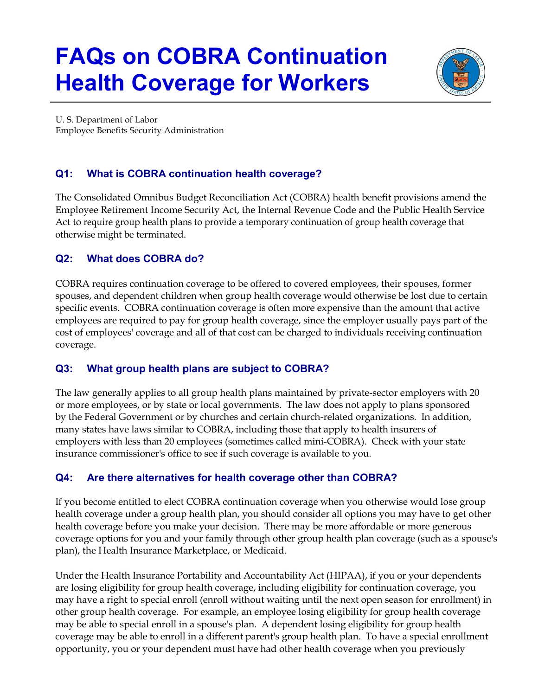# **FAQs on COBRA Continuation Health Coverage for Workers**



U. S. Department of Labor Employee Benefits Security Administration

# **Q1: What is COBRA continuation health coverage?**

The Consolidated Omnibus Budget Reconciliation Act (COBRA) health benefit provisions amend the Employee Retirement Income Security Act, the Internal Revenue Code and the Public Health Service Act to require group health plans to provide a temporary continuation of group health coverage that otherwise might be terminated.

# **Q2: What does COBRA do?**

COBRA requires continuation coverage to be offered to covered employees, their spouses, former spouses, and dependent children when group health coverage would otherwise be lost due to certain specific events. COBRA continuation coverage is often more expensive than the amount that active employees are required to pay for group health coverage, since the employer usually pays part of the cost of employees' coverage and all of that cost can be charged to individuals receiving continuation coverage.

# **Q3: What group health plans are subject to COBRA?**

The law generally applies to all group health plans maintained by private-sector employers with 20 or more employees, or by state or local governments. The law does not apply to plans sponsored by the Federal Government or by churches and certain church-related organizations. In addition, many states have laws similar to COBRA, including those that apply to health insurers of employers with less than 20 employees (sometimes called mini-COBRA). Check with your state insurance commissioner's office to see if such coverage is available to you.

# **Q4: Are there alternatives for health coverage other than COBRA?**

If you become entitled to elect COBRA continuation coverage when you otherwise would lose group health coverage under a group health plan, you should consider all options you may have to get other health coverage before you make your decision. There may be more affordable or more generous coverage options for you and your family through other group health plan coverage (such as a spouse's plan), the Health Insurance Marketplace, or Medicaid.

Under the Health Insurance Portability and Accountability Act (HIPAA), if you or your dependents are losing eligibility for group health coverage, including eligibility for continuation coverage, you may have a right to special enroll (enroll without waiting until the next open season for enrollment) in other group health coverage. For example, an employee losing eligibility for group health coverage may be able to special enroll in a spouse's plan. A dependent losing eligibility for group health coverage may be able to enroll in a different parent's group health plan. To have a special enrollment opportunity, you or your dependent must have had other health coverage when you previously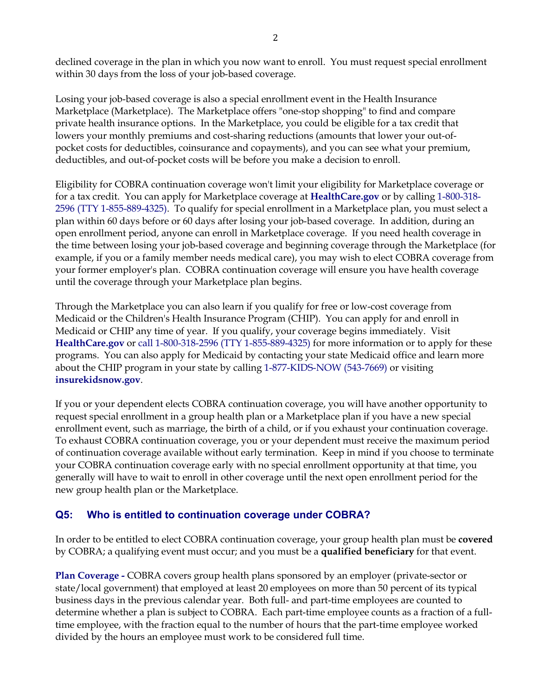declined coverage in the plan in which you now want to enroll. You must request special enrollment within 30 days from the loss of your job-based coverage.

Losing your job-based coverage is also a special enrollment event in the Health Insurance Marketplace (Marketplace). The Marketplace offers "one-stop shopping" to find and compare private health insurance options. In the Marketplace, you could be eligible for a tax credit that lowers your monthly premiums and cost-sharing reductions (amounts that lower your out-ofpocket costs for deductibles, coinsurance and copayments), and you can see what your premium, deductibles, and out-of-pocket costs will be before you make a decision to enroll.

Eligibility for COBRA continuation coverage won't limit your eligibility for Marketplace coverage or for a tax credit. You can apply for Marketplace coverage at **[HealthCare.gov](https://www.healthcare.gov/)** or by calling 1-800-318- 2596 (TTY 1-855-889-4325). To qualify for special enrollment in a Marketplace plan, you must select a plan within 60 days before or 60 days after losing your job-based coverage. In addition, during an open enrollment period, anyone can enroll in Marketplace coverage. If you need health coverage in the time between losing your job-based coverage and beginning coverage through the Marketplace (for example, if you or a family member needs medical care), you may wish to elect COBRA coverage from your former employer's plan. COBRA continuation coverage will ensure you have health coverage until the coverage through your Marketplace plan begins.

Through the Marketplace you can also learn if you qualify for free or low-cost coverage from Medicaid or the Children's Health Insurance Program (CHIP). You can apply for and enroll in Medicaid or CHIP any time of year. If you qualify, your coverage begins immediately. Visit **[HealthCare.gov](https://HealthCare.gov)** or call 1-800-318-2596 (TTY 1-855-889-4325) for more information or to apply for these programs. You can also apply for Medicaid by contacting your state Medicaid office and learn more about the CHIP program in your state by calling 1-877-KIDS-NOW (543-7669) or visiting **[insurekidsnow.gov](https://insurekidsnow.gov)**.

If you or your dependent elects COBRA continuation coverage, you will have another opportunity to request special enrollment in a group health plan or a Marketplace plan if you have a new special enrollment event, such as marriage, the birth of a child, or if you exhaust your continuation coverage. To exhaust COBRA continuation coverage, you or your dependent must receive the maximum period of continuation coverage available without early termination. Keep in mind if you choose to terminate your COBRA continuation coverage early with no special enrollment opportunity at that time, you generally will have to wait to enroll in other coverage until the next open enrollment period for the new group health plan or the Marketplace.

## **Q5: Who is entitled to continuation coverage under COBRA?**

In order to be entitled to elect COBRA continuation coverage, your group health plan must be **covered**  by COBRA; a qualifying event must occur; and you must be a **qualified beneficiary** for that event.

**Plan Coverage -** COBRA covers group health plans sponsored by an employer (private-sector or state/local government) that employed at least 20 employees on more than 50 percent of its typical business days in the previous calendar year. Both full- and part-time employees are counted to determine whether a plan is subject to COBRA. Each part-time employee counts as a fraction of a fulltime employee, with the fraction equal to the number of hours that the part-time employee worked divided by the hours an employee must work to be considered full time.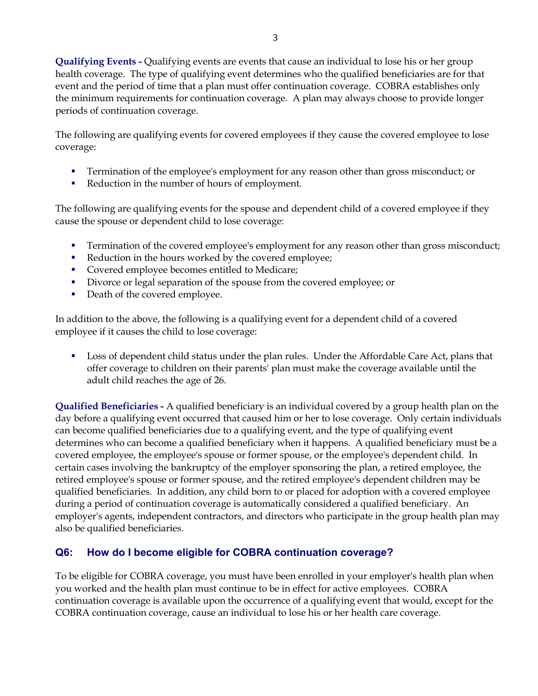**Qualifying Events -** Qualifying events are events that cause an individual to lose his or her group health coverage. The type of qualifying event determines who the qualified beneficiaries are for that event and the period of time that a plan must offer continuation coverage. COBRA establishes only the minimum requirements for continuation coverage. A plan may always choose to provide longer periods of continuation coverage.

The following are qualifying events for covered employees if they cause the covered employee to lose coverage:

- **Termination of the employee's employment for any reason other than gross misconduct; or**
- Reduction in the number of hours of employment.

The following are qualifying events for the spouse and dependent child of a covered employee if they cause the spouse or dependent child to lose coverage:

- Termination of the covered employee's employment for any reason other than gross misconduct;
- Reduction in the hours worked by the covered employee;
- **Covered employee becomes entitled to Medicare;**
- Divorce or legal separation of the spouse from the covered employee; or
- Death of the covered employee.

In addition to the above, the following is a qualifying event for a dependent child of a covered employee if it causes the child to lose coverage:

**Loss of dependent child status under the plan rules. Under the Affordable Care Act, plans that** offer coverage to children on their parents' plan must make the coverage available until the adult child reaches the age of 26.

**Qualified Beneficiaries -** A qualified beneficiary is an individual covered by a group health plan on the day before a qualifying event occurred that caused him or her to lose coverage. Only certain individuals can become qualified beneficiaries due to a qualifying event, and the type of qualifying event determines who can become a qualified beneficiary when it happens. A qualified beneficiary must be a covered employee, the employee's spouse or former spouse, or the employee's dependent child. In certain cases involving the bankruptcy of the employer sponsoring the plan, a retired employee, the retired employee's spouse or former spouse, and the retired employee's dependent children may be qualified beneficiaries. In addition, any child born to or placed for adoption with a covered employee during a period of continuation coverage is automatically considered a qualified beneficiary. An employer's agents, independent contractors, and directors who participate in the group health plan may also be qualified beneficiaries.

## **Q6: How do I become eligible for COBRA continuation coverage?**

To be eligible for COBRA coverage, you must have been enrolled in your employer's health plan when you worked and the health plan must continue to be in effect for active employees. COBRA continuation coverage is available upon the occurrence of a qualifying event that would, except for the COBRA continuation coverage, cause an individual to lose his or her health care coverage.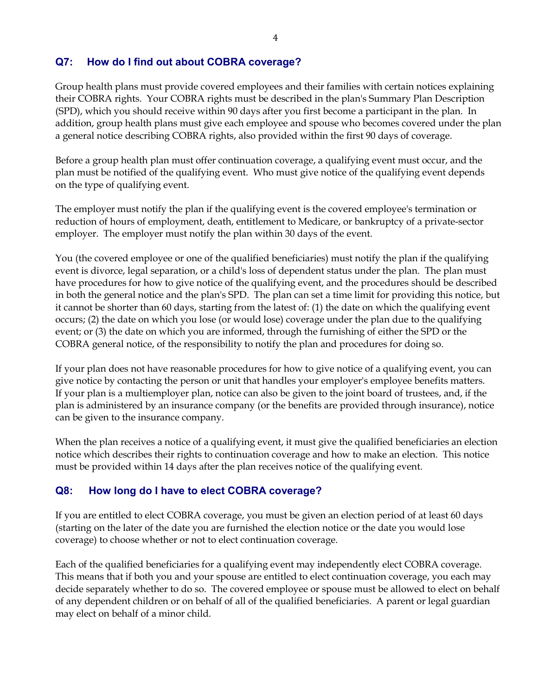### **Q7: How do I find out about COBRA coverage?**

Group health plans must provide covered employees and their families with certain notices explaining their COBRA rights. Your COBRA rights must be described in the plan's Summary Plan Description (SPD), which you should receive within 90 days after you first become a participant in the plan. In addition, group health plans must give each employee and spouse who becomes covered under the plan a general notice describing COBRA rights, also provided within the first 90 days of coverage.

Before a group health plan must offer continuation coverage, a qualifying event must occur, and the plan must be notified of the qualifying event. Who must give notice of the qualifying event depends on the type of qualifying event.

The employer must notify the plan if the qualifying event is the covered employee's termination or reduction of hours of employment, death, entitlement to Medicare, or bankruptcy of a private-sector employer. The employer must notify the plan within 30 days of the event.

You (the covered employee or one of the qualified beneficiaries) must notify the plan if the qualifying event is divorce, legal separation, or a child's loss of dependent status under the plan. The plan must have procedures for how to give notice of the qualifying event, and the procedures should be described in both the general notice and the plan's SPD. The plan can set a time limit for providing this notice, but it cannot be shorter than 60 days, starting from the latest of: (1) the date on which the qualifying event occurs; (2) the date on which you lose (or would lose) coverage under the plan due to the qualifying event; or (3) the date on which you are informed, through the furnishing of either the SPD or the COBRA general notice, of the responsibility to notify the plan and procedures for doing so.

If your plan does not have reasonable procedures for how to give notice of a qualifying event, you can give notice by contacting the person or unit that handles your employer's employee benefits matters. If your plan is a multiemployer plan, notice can also be given to the joint board of trustees, and, if the plan is administered by an insurance company (or the benefits are provided through insurance), notice can be given to the insurance company.

When the plan receives a notice of a qualifying event, it must give the qualified beneficiaries an election notice which describes their rights to continuation coverage and how to make an election. This notice must be provided within 14 days after the plan receives notice of the qualifying event.

## **Q8: How long do I have to elect COBRA coverage?**

If you are entitled to elect COBRA coverage, you must be given an election period of at least 60 days (starting on the later of the date you are furnished the election notice or the date you would lose coverage) to choose whether or not to elect continuation coverage.

Each of the qualified beneficiaries for a qualifying event may independently elect COBRA coverage. This means that if both you and your spouse are entitled to elect continuation coverage, you each may decide separately whether to do so. The covered employee or spouse must be allowed to elect on behalf of any dependent children or on behalf of all of the qualified beneficiaries. A parent or legal guardian may elect on behalf of a minor child.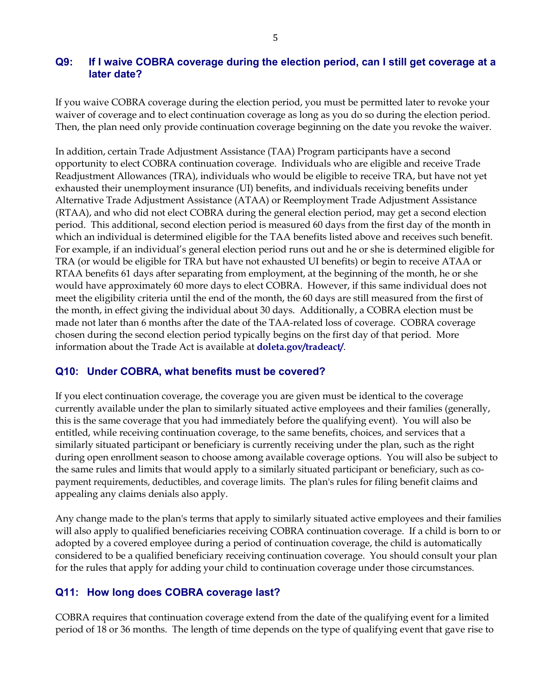#### **Q9: If I waive COBRA coverage during the election period, can I still get coverage at a later date?**

If you waive COBRA coverage during the election period, you must be permitted later to revoke your waiver of coverage and to elect continuation coverage as long as you do so during the election period. Then, the plan need only provide continuation coverage beginning on the date you revoke the waiver.

In addition, certain Trade Adjustment Assistance (TAA) Program participants have a second opportunity to elect COBRA continuation coverage. Individuals who are eligible and receive Trade Readjustment Allowances (TRA), individuals who would be eligible to receive TRA, but have not yet exhausted their unemployment insurance (UI) benefits, and individuals receiving benefits under Alternative Trade Adjustment Assistance (ATAA) or Reemployment Trade Adjustment Assistance (RTAA), and who did not elect COBRA during the general election period, may get a second election period. This additional, second election period is measured 60 days from the first day of the month in which an individual is determined eligible for the TAA benefits listed above and receives such benefit. For example, if an individual's general election period runs out and he or she is determined eligible for TRA (or would be eligible for TRA but have not exhausted UI benefits) or begin to receive ATAA or RTAA benefits 61 days after separating from employment, at the beginning of the month, he or she would have approximately 60 more days to elect COBRA. However, if this same individual does not meet the eligibility criteria until the end of the month, the 60 days are still measured from the first of the month, in effect giving the individual about 30 days. Additionally, a COBRA election must be made not later than 6 months after the date of the TAA-related loss of coverage. COBRA coverage chosen during the second election period typically begins on the first day of that period. More information about the Trade Act is available at **[doleta.gov/tradeact/](https://doleta.gov/tradeact)**.

#### **Q10: Under COBRA, what benefits must be covered?**

If you elect continuation coverage, the coverage you are given must be identical to the coverage currently available under the plan to similarly situated active employees and their families (generally, this is the same coverage that you had immediately before the qualifying event). You will also be entitled, while receiving continuation coverage, to the same benefits, choices, and services that a similarly situated participant or beneficiary is currently receiving under the plan, such as the right during open enrollment season to choose among available coverage options. You will also be subject to the same rules and limits that would apply to a similarly situated participant or beneficiary, such as copayment requirements, deductibles, and coverage limits. The plan's rules for filing benefit claims and appealing any claims denials also apply.

Any change made to the plan's terms that apply to similarly situated active employees and their families will also apply to qualified beneficiaries receiving COBRA continuation coverage. If a child is born to or adopted by a covered employee during a period of continuation coverage, the child is automatically considered to be a qualified beneficiary receiving continuation coverage. You should consult your plan for the rules that apply for adding your child to continuation coverage under those circumstances.

#### **Q11: How long does COBRA coverage last?**

COBRA requires that continuation coverage extend from the date of the qualifying event for a limited period of 18 or 36 months. The length of time depends on the type of qualifying event that gave rise to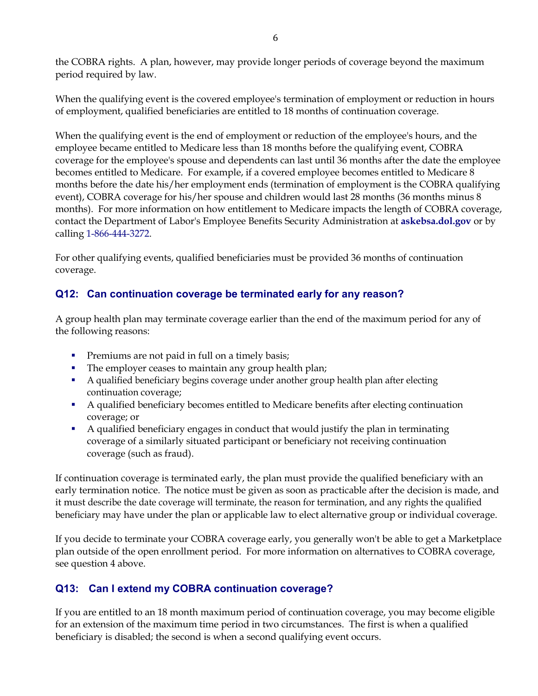the COBRA rights. A plan, however, may provide longer periods of coverage beyond the maximum period required by law.

When the qualifying event is the covered employee's termination of employment or reduction in hours of employment, qualified beneficiaries are entitled to 18 months of continuation coverage.

When the qualifying event is the end of employment or reduction of the employee's hours, and the employee became entitled to Medicare less than 18 months before the qualifying event, COBRA coverage for the employee's spouse and dependents can last until 36 months after the date the employee becomes entitled to Medicare. For example, if a covered employee becomes entitled to Medicare 8 months before the date his/her employment ends (termination of employment is the COBRA qualifying event), COBRA coverage for his/her spouse and children would last 28 months (36 months minus 8 months). For more information on how entitlement to Medicare impacts the length of COBRA coverage, contact the Department of Labor's Employee Benefits Security Administration at **[askebsa.dol.gov](https://www.dol.gov/agencies/ebsa/about-ebsa/ask-a-question/ask-ebsa)** or by calling 1-866-444-3272.

For other qualifying events, qualified beneficiaries must be provided 36 months of continuation coverage.

# **Q12: Can continuation coverage be terminated early for any reason?**

A group health plan may terminate coverage earlier than the end of the maximum period for any of the following reasons:

- **Premiums are not paid in full on a timely basis;**
- The employer ceases to maintain any group health plan;
- A qualified beneficiary begins coverage under another group health plan after electing continuation coverage;
- A qualified beneficiary becomes entitled to Medicare benefits after electing continuation coverage; or
- A qualified beneficiary engages in conduct that would justify the plan in terminating coverage of a similarly situated participant or beneficiary not receiving continuation coverage (such as fraud).

If continuation coverage is terminated early, the plan must provide the qualified beneficiary with an early termination notice. The notice must be given as soon as practicable after the decision is made, and it must describe the date coverage will terminate, the reason for termination, and any rights the qualified beneficiary may have under the plan or applicable law to elect alternative group or individual coverage.

If you decide to terminate your COBRA coverage early, you generally won't be able to get a Marketplace plan outside of the open enrollment period. For more information on alternatives to COBRA coverage, see question 4 above.

# **Q13: Can I extend my COBRA continuation coverage?**

If you are entitled to an 18 month maximum period of continuation coverage, you may become eligible for an extension of the maximum time period in two circumstances. The first is when a qualified beneficiary is disabled; the second is when a second qualifying event occurs.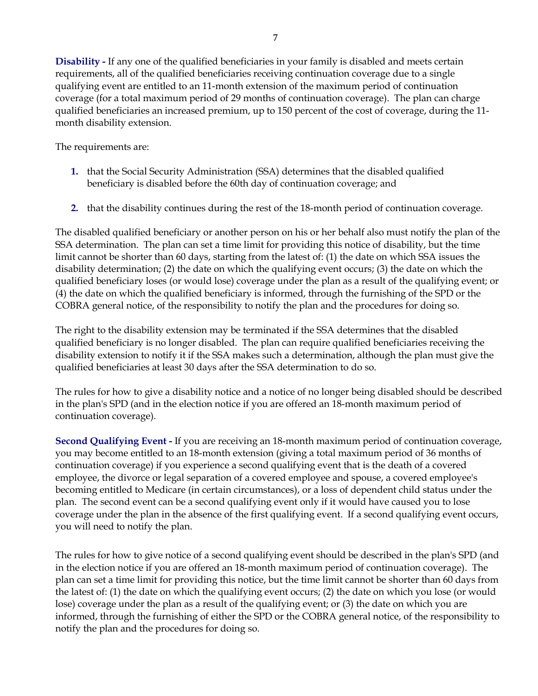**Disability -** If any one of the qualified beneficiaries in your family is disabled and meets certain requirements, all of the qualified beneficiaries receiving continuation coverage due to a single qualifying event are entitled to an 11-month extension of the maximum period of continuation coverage (for a total maximum period of 29 months of continuation coverage). The plan can charge qualified beneficiaries an increased premium, up to 150 percent of the cost of coverage, during the 11 month disability extension.

The requirements are:

- **1.** that the Social Security Administration (SSA) determines that the disabled qualified beneficiary is disabled before the 60th day of continuation coverage; and
- **2.** that the disability continues during the rest of the 18-month period of continuation coverage.

The disabled qualified beneficiary or another person on his or her behalf also must notify the plan of the SSA determination. The plan can set a time limit for providing this notice of disability, but the time limit cannot be shorter than 60 days, starting from the latest of: (1) the date on which SSA issues the disability determination; (2) the date on which the qualifying event occurs; (3) the date on which the qualified beneficiary loses (or would lose) coverage under the plan as a result of the qualifying event; or (4) the date on which the qualified beneficiary is informed, through the furnishing of the SPD or the COBRA general notice, of the responsibility to notify the plan and the procedures for doing so.

The right to the disability extension may be terminated if the SSA determines that the disabled qualified beneficiary is no longer disabled. The plan can require qualified beneficiaries receiving the disability extension to notify it if the SSA makes such a determination, although the plan must give the qualified beneficiaries at least 30 days after the SSA determination to do so.

The rules for how to give a disability notice and a notice of no longer being disabled should be described in the plan's SPD (and in the election notice if you are offered an 18-month maximum period of continuation coverage).

**Second Qualifying Event -** If you are receiving an 18-month maximum period of continuation coverage, you may become entitled to an 18-month extension (giving a total maximum period of 36 months of continuation coverage) if you experience a second qualifying event that is the death of a covered employee, the divorce or legal separation of a covered employee and spouse, a covered employee's becoming entitled to Medicare (in certain circumstances), or a loss of dependent child status under the plan. The second event can be a second qualifying event only if it would have caused you to lose coverage under the plan in the absence of the first qualifying event. If a second qualifying event occurs, you will need to notify the plan.

The rules for how to give notice of a second qualifying event should be described in the plan's SPD (and in the election notice if you are offered an 18-month maximum period of continuation coverage). The plan can set a time limit for providing this notice, but the time limit cannot be shorter than 60 days from the latest of: (1) the date on which the qualifying event occurs; (2) the date on which you lose (or would lose) coverage under the plan as a result of the qualifying event; or (3) the date on which you are informed, through the furnishing of either the SPD or the COBRA general notice, of the responsibility to notify the plan and the procedures for doing so.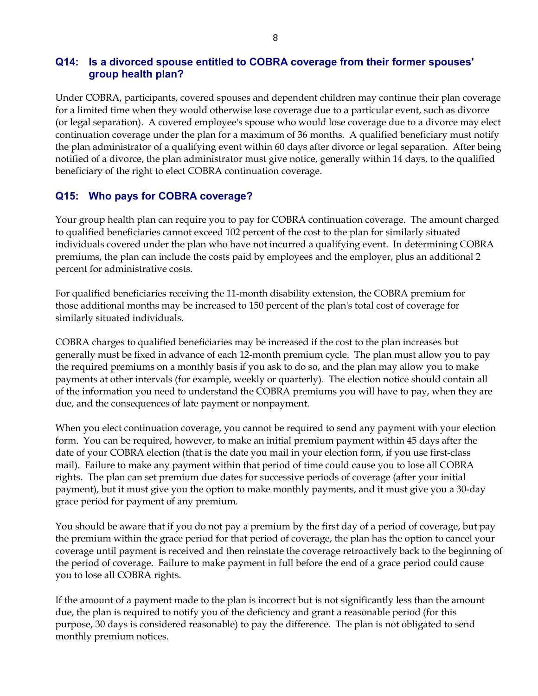#### **Q14: Is a divorced spouse entitled to COBRA coverage from their former spouses' group health plan?**

Under COBRA, participants, covered spouses and dependent children may continue their plan coverage for a limited time when they would otherwise lose coverage due to a particular event, such as divorce (or legal separation). A covered employee's spouse who would lose coverage due to a divorce may elect continuation coverage under the plan for a maximum of 36 months. A qualified beneficiary must notify the plan administrator of a qualifying event within 60 days after divorce or legal separation. After being notified of a divorce, the plan administrator must give notice, generally within 14 days, to the qualified beneficiary of the right to elect COBRA continuation coverage.

## **Q15: Who pays for COBRA coverage?**

Your group health plan can require you to pay for COBRA continuation coverage. The amount charged to qualified beneficiaries cannot exceed 102 percent of the cost to the plan for similarly situated individuals covered under the plan who have not incurred a qualifying event. In determining COBRA premiums, the plan can include the costs paid by employees and the employer, plus an additional 2 percent for administrative costs.

For qualified beneficiaries receiving the 11-month disability extension, the COBRA premium for those additional months may be increased to 150 percent of the plan's total cost of coverage for similarly situated individuals.

COBRA charges to qualified beneficiaries may be increased if the cost to the plan increases but generally must be fixed in advance of each 12-month premium cycle. The plan must allow you to pay the required premiums on a monthly basis if you ask to do so, and the plan may allow you to make payments at other intervals (for example, weekly or quarterly). The election notice should contain all of the information you need to understand the COBRA premiums you will have to pay, when they are due, and the consequences of late payment or nonpayment.

When you elect continuation coverage, you cannot be required to send any payment with your election form. You can be required, however, to make an initial premium payment within 45 days after the date of your COBRA election (that is the date you mail in your election form, if you use first-class mail). Failure to make any payment within that period of time could cause you to lose all COBRA rights. The plan can set premium due dates for successive periods of coverage (after your initial payment), but it must give you the option to make monthly payments, and it must give you a 30-day grace period for payment of any premium.

You should be aware that if you do not pay a premium by the first day of a period of coverage, but pay the premium within the grace period for that period of coverage, the plan has the option to cancel your coverage until payment is received and then reinstate the coverage retroactively back to the beginning of the period of coverage. Failure to make payment in full before the end of a grace period could cause you to lose all COBRA rights.

If the amount of a payment made to the plan is incorrect but is not significantly less than the amount due, the plan is required to notify you of the deficiency and grant a reasonable period (for this purpose, 30 days is considered reasonable) to pay the difference. The plan is not obligated to send monthly premium notices.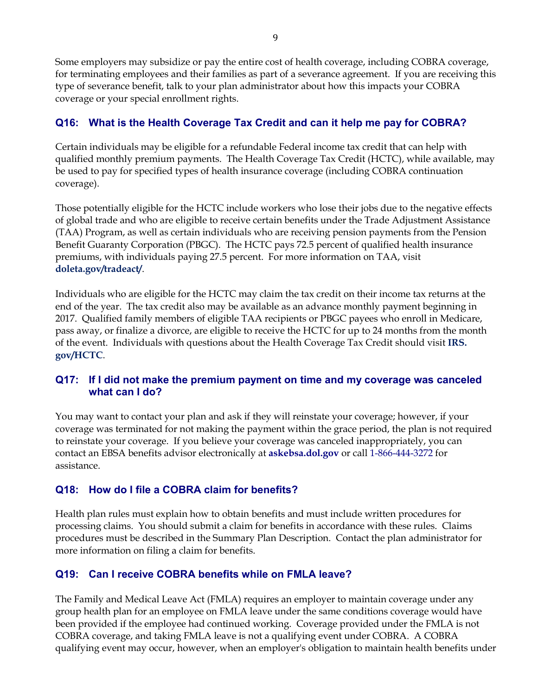Some employers may subsidize or pay the entire cost of health coverage, including COBRA coverage, for terminating employees and their families as part of a severance agreement. If you are receiving this type of severance benefit, talk to your plan administrator about how this impacts your COBRA coverage or your special enrollment rights.

# **Q16: What is the Health Coverage Tax Credit and can it help me pay for COBRA?**

Certain individuals may be eligible for a refundable Federal income tax credit that can help with qualified monthly premium payments. The Health Coverage Tax Credit (HCTC), while available, may be used to pay for specified types of health insurance coverage (including COBRA continuation coverage).

Those potentially eligible for the HCTC include workers who lose their jobs due to the negative effects of global trade and who are eligible to receive certain benefits under the Trade Adjustment Assistance (TAA) Program, as well as certain individuals who are receiving pension payments from the Pension Benefit Guaranty Corporation (PBGC). The HCTC pays 72.5 percent of qualified health insurance premiums, with individuals paying 27.5 percent. For more information on TAA, visit **[doleta.gov/tradeact/](http://doleta.gov/tradeact/)**.

Individuals who are eligible for the HCTC may claim the tax credit on their income tax returns at the end of the year. The tax credit also may be available as an advance monthly payment beginning in 2017. Qualified family members of eligible TAA recipients or PBGC payees who enroll in Medicare, pass away, or finalize a divorce, are eligible to receive the HCTC for up to 24 months from the month of the event. Individuals with questions about the Health Coverage Tax Credit should visit **[IRS.](https://www.irs.gov/credits-deductions/individuals/hctc)  [gov/HCTC](https://www.irs.gov/credits-deductions/individuals/hctc)**.

## **Q17: If I did not make the premium payment on time and my coverage was canceled what can I do?**

You may want to contact your plan and ask if they will reinstate your coverage; however, if your coverage was terminated for not making the payment within the grace period, the plan is not required to reinstate your coverage. If you believe your coverage was canceled inappropriately, you can contact an EBSA benefits advisor electronically at **[askebsa.dol.gov](https://www.dol.gov/agencies/ebsa/about-ebsa/ask-a-question/ask-ebsa)** or call 1-866-444-3272 for assistance.

## **Q18: How do I file a COBRA claim for benefits?**

Health plan rules must explain how to obtain benefits and must include written procedures for processing claims. You should submit a claim for benefits in accordance with these rules. Claims procedures must be described in the Summary Plan Description. Contact the plan administrator for more information on filing a claim for benefits.

## **Q19: Can I receive COBRA benefits while on FMLA leave?**

The Family and Medical Leave Act (FMLA) requires an employer to maintain coverage under any group health plan for an employee on FMLA leave under the same conditions coverage would have been provided if the employee had continued working. Coverage provided under the FMLA is not COBRA coverage, and taking FMLA leave is not a qualifying event under COBRA. A COBRA qualifying event may occur, however, when an employer's obligation to maintain health benefits under